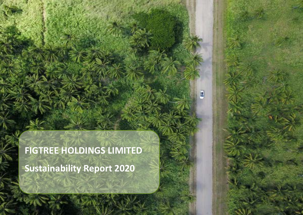**FIGTREE HOLDINGS LIMITED Sustainability Report 2020**

圓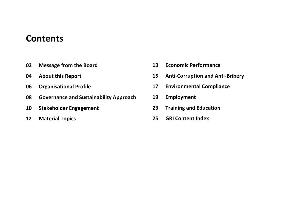# **Contents**

- **Message from the Board**
- **About this Report**
- **Organisational Profile**
- **Governance and Sustainability Approach**
- **Stakeholder Engagement**
- **Material Topics**
- **Economic Performance**
- **Anti-Corruption and Anti-Bribery**
- **Environmental Compliance**
- **Employment**
- **Training and Education**
- **GRI Content Index**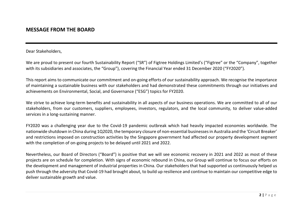### **MESSAGE FROM THE BOARD**

Dear Stakeholders,

We are proud to present our fourth Sustainability Report ("SR") of Figtree Holdings Limited's ("Figtree" or the "Company", together with its subsidiaries and associates, the "Group"), covering the Financial Year ended 31 December 2020 ("FY2020").

This report aims to communicate our commitment and on-going efforts of our sustainability approach. We recognise the importance of maintaining a sustainable business with our stakeholders and had demonstrated these commitments through our initiatives and achievements on Environmental, Social, and Governance ("ESG") topics for FY2020.

We strive to achieve long-term benefits and sustainability in all aspects of our business operations. We are committed to all of our stakeholders, from our customers, suppliers, employees, investors, regulators, and the local community, to deliver value-added services in a long-sustaining manner.

FY2020 was a challenging year due to the Covid-19 pandemic outbreak which had heavily impacted economies worldwide. The nationwide shutdown in China during 1Q2020, the temporary closure of non-essential businessesin Australia and the 'Circuit Breaker' and restrictions imposed on construction activities by the Singapore government had affected our property development segment with the completion of on-going projects to be delayed until 2021 and 2022.

Nevertheless, our Board of Directors ("Board") is positive that we will see economic recovery in 2021 and 2022 as most of these projects are on schedule for completion. With signs of economic rebound in China, our Group will continue to focus our efforts on the development and management of industrial properties in China. Our stakeholders that had supported us continuously helped us push through the adversity that Covid-19 had brought about, to build up resilience and continue to maintain our competitive edge to deliver sustainable growth and value.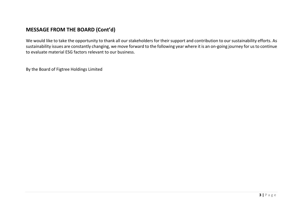### **MESSAGE FROM THE BOARD (Cont'd)**

We would like to take the opportunity to thank all our stakeholders for their support and contribution to our sustainability efforts. As sustainability issues are constantly changing, we move forward to the following year where it is an on-going journey for us to continue to evaluate material ESG factors relevant to our business.

By the Board of Figtree Holdings Limited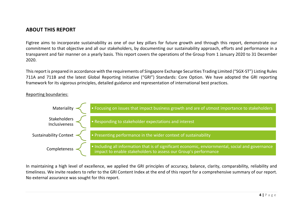### **ABOUT THIS REPORT**

Figtree aims to incorporate sustainability as one of our key pillars for future growth and through this report, demonstrate our commitment to that objective and all our stakeholders, by documenting our sustainability approach, efforts and performance in a transparent and fair manner on a yearly basis. This report covers the operations of the Group from 1 January 2020 to 31 December 2020.

This report is prepared in accordance with the requirements of Singapore Exchange Securities Trading Limited ("SGX-ST") Listing Rules 711A and 711B and the latest Global Reporting Initiative ("GRI") Standards: Core Option. We have adopted the GRI reporting framework for its vigorous principles, detailed guidance and representation of international best practices.

#### Reporting boundaries:



In maintaining a high level of excellence, we applied the GRI principles of accuracy, balance, clarity, comparability, reliability and timeliness. We invite readers to refer to the GRI Content Index at the end of this report for a comprehensive summary of our report. No external assurance was sought for this report.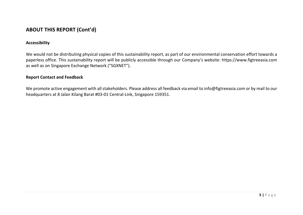### **ABOUT THIS REPORT (Cont'd)**

#### **Accessibility**

We would not be distributing physical copies of this sustainability report, as part of our environmental conservation effort towards a paperless office. This sustainability report will be publicly accessible through our Company's website: https://www.figtreeasia.com as well as on Singapore Exchange Network ("SGXNET").

#### **Report Contact and Feedback**

We promote active engagement with all stakeholders. Please address all feedback via email to [info@figtreeasia.com](mailto:info@figtreeasia.com) or by mail to our headquarters at 8 Jalan Kilang Barat #03-01 Central-Link, Singapore 159351.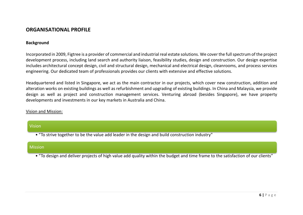### **ORGANISATIONAL PROFILE**

#### **Background**

Incorporated in 2009, Figtree is a provider of commercial and industrial real estate solutions. We cover the full spectrum of the project development process, including land search and authority liaison, feasibility studies, design and construction. Our design expertise includes architectural concept design, civil and structural design, mechanical and electrical design, cleanrooms, and process services engineering. Our dedicated team of professionals provides our clients with extensive and effective solutions.

Headquartered and listed in Singapore, we act as the main contractor in our projects, which cover new construction, addition and alteration works on existing buildings as well as refurbishment and upgrading of existing buildings. In China and Malaysia, we provide design as well as project and construction management services. Venturing abroad (besides Singapore), we have property developments and investments in our key markets in Australia and China.

#### Vision and Mission:

| <b>Vision</b>                                                                                   |
|-------------------------------------------------------------------------------------------------|
| • "To strive together to be the value add leader in the design and build construction industry" |
| <b>Mission</b>                                                                                  |

• "To design and deliver projects of high value add quality within the budget and time frame to the satisfaction of our clients"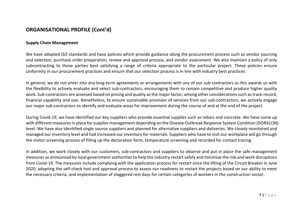### **ORGANISATIONAL PROFILE (Cont'd)**

#### **Supply Chain Management**

We have adopted ISO standards and have policies which provide guidance along the procurement process such as vendor sourcing and selection, purchase order preparation, review and approval process, and vendor assessment. We also maintain a policy of only subcontracting to those parties best satisfying a range of criteria appropriate to the particular project. These policies ensure uniformity in our procurement practices and ensure that our selection process is in line with industry best practices.

In general, we do not enter into any long-term agreements or arrangements with any of our sub-contractors as this awards us with the flexibility to actively evaluate and select sub-contractors, encouraging them to remain competitive and produce higher quality work. Sub-contractors are assessed based on pricing and quality as the major factor, among other considerations such as track-record, financial capability and size. Nonetheless, to ensure sustainable provision of services from our sub-contractors, we actively engage our major sub-contractors to identify and evaluate areas for improvement during the course of and at the end of the project.

During Covid-19, we have identified our key suppliers who provide essential supplies such as rebars and concrete. We have come up with different measures in place for supplier management depending on the Disease Outbreak Response System Condition (DORSCON) level. We have also identified single source suppliers and planned for alternative suppliers and deliveries. We closely monitored and managed our inventory level and had increased our inventory for materials. Suppliers who have to visit our workplace will go through the visitor screening process of filling up the declaration form, temperature screening and recorded for contact tracing.

In addition, we work closely with our customers, sub-contractors and suppliers to observe and put in place the safe management measures as announced by local government authorities to help the industry restart safely and minimise the risk and work disruptions from Covid-19. The measures include complying with the application process for restart since the lifting of the Circuit Breaker in June 2020, adopting the self-check tool and approval process to assess our readiness to restart the projects based on our ability to meet the necessary criteria, and implementation of staggered rest days for certain categories of workers in the construction sector.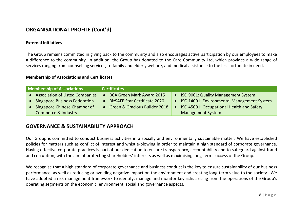### **ORGANISATIONAL PROFILE (Cont'd)**

#### **External Initiatives**

The Group remains committed in giving back to the community and also encourages active participation by our employees to make a difference to the community. In addition, the Group has donated to the Care Community Ltd, which provides a wide range of services ranging from counselling services, to family and elderly welfare, and medical assistance to the less fortunate in need.

#### **Membership of Associations and Certificates**

| <b>Membership of Associations</b> |                                        | <b>Certificates</b>                  |                                            |
|-----------------------------------|----------------------------------------|--------------------------------------|--------------------------------------------|
|                                   | <b>Association of Listed Companies</b> | <b>BCA Green Mark Award 2015</b>     | ISO 9001: Quality Management System        |
|                                   | <b>Singapore Business Federation</b>   | <b>BizSAFE Star Certificate 2020</b> | ISO 14001: Environmental Management System |
|                                   | Singapore Chinese Chamber of           | • Green & Gracious Builder 2018      | ISO 45001: Occupational Health and Safety  |
|                                   | Commerce & Industry                    |                                      | <b>Management System</b>                   |

#### **GOVERNANCE & SUSTAINABILITY APPROACH**

Our Group is committed to conduct business activities in a socially and environmentally sustainable matter. We have established policies for matters such as conflict of interest and whistle-blowing in order to maintain a high standard of corporate governance. Having effective corporate practices is part of our dedication to ensure transparency, accountability and to safeguard against fraud and corruption, with the aim of protecting shareholders' interests as well as maximising long-term success of the Group.

We recognise that a high standard of corporate governance and business conduct is the key to ensure sustainability of our business performance, as well as reducing or avoiding negative impact on the environment and creating long-term value to the society. We have adopted a risk management framework to identify, manage and monitor key risks arising from the operations of the Group's operating segments on the economic, environment, social and governance aspects.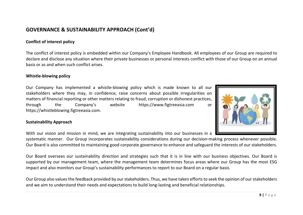### **GOVERNANCE & SUSTAINABILITY APPROACH (Cont'd)**

#### **Conflict of interest policy**

The conflict of interest policy is embedded within our Company's Employee Handbook. All employees of our Group are required to declare and disclose any situation where their private businesses or personal interests conflict with those of our Group on an annual basis or as and when such conflict arises.

#### **Whistle-blowing policy**

Our Company has implemented a whistle-blowing policy which is made known to all our stakeholders where they may, in confidence, raise concerns about possible irregularities on matters of financial reporting or other matters relating to fraud, corruption or dishonest practices, through the Company's website https://www.figtreeasia.com or https://whistleblowing.figtreeasia.com.

#### **Sustainability Approach**

With our vision and mission in mind, we are integrating sustainability into our businesses in a

systematic manner. Our Group incorporates sustainability considerations during our decision-making process whenever possible. Our Board is also committed to maintaining good corporate governance to enhance and safeguard the interests of our stakeholders.

Our Board oversees our sustainability direction and strategies such that it is in line with our business objectives. Our Board is supported by our management team, where the management team determines focus areas where our Group has the most ESG impact and also monitors our Group's sustainability performances to report to our Board on a regular basis.

Our Group also values the feedback provided by our stakeholders. Thus, we have taken efforts to seek the opinion of our stakeholders and we aim to understand their needs and expectations to build long-lasting and beneficial relationships.

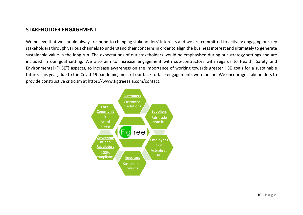### **STAKEHOLDER ENGAGEMENT**

We believe that we should always respond to changing stakeholders' interests and we are committed to actively engaging our key stakeholders through various channels to understand their concerns in order to align the business interest and ultimately to generate sustainable value in the long-run. The expectations of our stakeholders would be emphasised during our strategy settings and are included in our goal setting. We also aim to increase engagement with sub-contractors with regards to Health, Safety and Environmental ("HSE") aspects, to increase awareness on the importance of working towards greater HSE goals for a sustainable future. This year, due to the Covid-19 pandemic, most of our face-to-face engagements were online. We encourage stakeholders to provide constructive criticism at [https://www.figtreeasia.com/contact.](https://www.figtreeasia.com/contact)

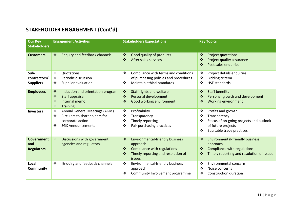# **STAKEHOLDER ENGAGEMENT (Cont'd)**

| <b>Our Key</b><br><b>Stakeholders</b>         | <b>Engagement Activities</b>                                                                                                                                  | <b>Stakeholders Expectations</b>                                                                                                                                                                                    | <b>Key Topics</b>                                                                                                                                    |
|-----------------------------------------------|---------------------------------------------------------------------------------------------------------------------------------------------------------------|---------------------------------------------------------------------------------------------------------------------------------------------------------------------------------------------------------------------|------------------------------------------------------------------------------------------------------------------------------------------------------|
| <b>Customers</b>                              | $\bullet^{\bullet}_{\bullet} \bullet$<br><b>Enquiry and feedback channels</b>                                                                                 | $\bullet^{\bullet}_{\bullet} \bullet$<br>Good quality of products<br>$\frac{1}{2}$<br>After sales services                                                                                                          | $\frac{1}{2}$<br>Project quotations<br>Project quality assurance<br>$\frac{1}{2}$<br>Post sales enquiries<br>❖                                       |
| Sub-<br>contractors/<br><b>Suppliers</b>      | $\cdot$<br>Quotations<br>Periodic discussion<br>❖<br>❖<br>Supplier evaluation                                                                                 | Compliance with terms and conditions<br>$\cdot$<br>of purchasing policies and procedures<br>Maintain ethical standards<br>$\cdot$                                                                                   | Project details enquiries<br>❖<br><b>Bidding criteria</b><br>❖<br><b>HSE standards</b><br>$\cdot$                                                    |
| <b>Employees</b>                              | $\bullet^{\bullet}_{\Phi}$<br>Induction and orientation program<br>$\frac{1}{2}$<br>Staff appraisal<br>Internal memo<br>$\frac{1}{2}$<br>❖<br><b>Training</b> | $\bullet^{\bullet}_{\bullet} \bullet$<br><b>Staff rights and welfare</b><br>❖<br>Personal development<br>Good working environment<br>❖                                                                              | $\frac{1}{2}$<br><b>Staff benefits</b><br>Personal growth and development<br>❖<br><b>Working environment</b><br>❖                                    |
| <b>Investors</b>                              | Annual General Meetings (AGM)<br>❖<br>Circulars to shareholders for<br>❖<br>corporate action<br>❖<br><b>SGX Announcements</b>                                 | $\bullet$<br>Profitability<br>❖<br>Transparency<br>❖<br><b>Timely reporting</b><br>❖<br>Fair purchasing practices                                                                                                   | Profits and growth<br>❖<br>Transparency<br>❖<br>Status of on-going projects and outlook<br>❖<br>of future projects<br>Equitable trade practices<br>❖ |
| <b>Government</b><br>and<br><b>Regulators</b> | Discussions with government<br>$\frac{1}{2}$<br>agencies and regulators                                                                                       | $\bullet^{\bullet}_{\bullet} \bullet$<br><b>Environmental-friendly business</b><br>approach<br>Compliance with regulations<br>$\frac{1}{2}$<br>$\frac{1}{2}$<br>Timely reporting and resolution of<br><i>issues</i> | <b>Environmental-friendly business</b><br>$\cdot$<br>approach<br>Compliance with regulations<br>参<br>Timely reporting and resolution of issues<br>❖  |
| Local<br><b>Community</b>                     | ❖<br>Enquiry and feedback channels                                                                                                                            | Environmental-friendly business<br>$\cdot$<br>approach<br>❖<br>Community Involvement programme                                                                                                                      | Environmental concern<br>$\cdot$<br>❖<br>Noise concerns<br>❖<br>Construction duration                                                                |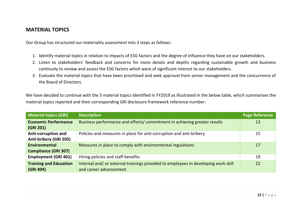### **MATERIAL TOPICS**

Our Group has structured our materiality assessment into 3 steps as follows:

- 1. Identify material topics in relation to impacts of ESG factors and the degree of influence they have on our stakeholders.
- 2. Listen to stakeholders' feedback and concerns for more details and depths regarding sustainable growth and business continuity to review and assess the ESG factors which were of significant interest to our stakeholders.
- 3. Evaluate the material topics that have been prioritised and seek approval from senior management and the concurrence of the Board of Directors.

We have decided to continue with the 5 material topics identified in FY2019 as illustrated in the below table, which summarises the material topics reported and their corresponding GRI disclosure framework reference number:

| Material topics (GRI)                               | <b>Description</b>                                                                                          | <b>Page Reference</b> |
|-----------------------------------------------------|-------------------------------------------------------------------------------------------------------------|-----------------------|
| <b>Economic Performance</b><br>(GRI 201)            | Business performance and efforts/ commitment in achieving greater results                                   | 13                    |
| Anti-corruption and<br>Anti-bribery (GRI 205)       | Policies and measures in place for anti-corruption and anti-bribery                                         | 15                    |
| <b>Environmental</b><br><b>Compliance (GRI 307)</b> | Measures in place to comply with environmental regulations                                                  | 17                    |
| <b>Employment (GRI 401)</b>                         | Hiring policies and staff benefits                                                                          | 19                    |
| <b>Training and Education</b><br>(GRI 404)          | Internal and/or external trainings provided to employees in developing work skill<br>and career advancement | 22                    |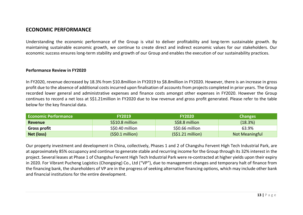### **ECONOMIC PERFORMANCE**

Understanding the economic performance of the Group is vital to deliver profitability and long-term sustainable growth. By maintaining sustainable economic growth, we continue to create direct and indirect economic values for our stakeholders. Our economic success ensures long-term stability and growth of our Group and enables the execution of our sustainability practices.

#### **Performance Review in FY2020**

In FY2020, revenue decreased by 18.3% from \$10.8million in FY2019 to \$8.8million in FY2020. However, there is an increase in gross profit due to the absence of additional costs incurred upon finalisation of accounts from projects completed in prior years. The Group recorded lower general and administrative expenses and finance costs amongst other expenses in FY2020. However the Group continues to record a net loss at S\$1.21million in FY2020 due to low revenue and gross profit generated. Please refer to the table below for the key financial data.

| <b>Economic Performance</b> | <b>FY2019</b>    | <b>FY2020</b>     | <b>Changes</b> |
|-----------------------------|------------------|-------------------|----------------|
| Revenue                     | S\$10.8 million  | S\$8.8 million    | (18.3%)        |
| <b>Gross profit</b>         | S\$0.40 million  | S\$0.66 million   | 63.9%          |
| Net (loss)                  | (S\$0.1 million) | (S\$1.21 million) | Not Meaningful |

Our property investment and development in China, collectively, Phases 1 and 2 of Changshu Fervent High Tech Industrial Park, are at approximately 85% occupancy and continue to generate stable and recurring income for the Group through its 32% interest in the project. Several leases at Phase 1 of Changshu Fervent High Tech Industrial Park were re-contracted at higher yields upon their expiry in 2020. For Vibrant Pucheng Logistics (Chongqing) Co., Ltd ("VP"), due to management changes and temporary halt of finance from the financing bank, the shareholders of VP are in the progress of seeking alternative financing options, which may include other bank and financial institutions for the entire development.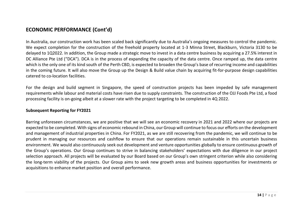### **ECONOMIC PERFORMANCE (Cont'd)**

In Australia, our construction work has been scaled back significantly due to Australia's ongoing measures to control the pandemic. We expect completion for the construction of the freehold property located at 1-3 Minna Street, Blackburn, Victoria 3130 to be delayed to 1Q2022. In addition, the Group made a strategic move to invest in a data centre business by acquiring a 27.5% interest in DC Alliance Pte Ltd ("DCA"). DCA is in the process of expanding the capacity of the data centre. Once ramped up, the data centre which is the only one of its kind south of the Perth CBD, is expected to broaden the Group's base of recurring income and capabilities in the coming future. It will also move the Group up the Design & Build value chain by acquiring fit-for-purpose design capabilities catered to co-location facilities.

For the design and build segment in Singapore, the speed of construction projects has been impeded by safe management requirements while labour and material costs have risen due to supply constraints. The construction of the OJJ Foods Pte Ltd, a food processing facility is on-going albeit at a slower rate with the project targeting to be completed in 4Q 2022.

#### **Subsequent Reporting for FY2021**

Barring unforeseen circumstances, we are positive that we will see an economic recovery in 2021 and 2022 where our projects are expected to be completed. With signs of economic rebound in China, our Group will continue to focus our efforts on the development and management of industrial properties in China. For FY2021, as we are still recovering from the pandemic, we will continue to be prudent in managing our resources and cashflow to ensure that our operations remain sustainable in this uncertain business environment. We would also continuously seek out development and venture opportunities globally to ensure continuous growth of the Group's operations. Our Group continues to strive in balancing stakeholders' expectations with due diligence in our project selection approach. All projects will be evaluated by our Board based on our Group's own stringent criterion while also considering the long-term viability of the projects. Our Group aims to seek new growth areas and business opportunities for investments or acquisitions to enhance market position and overall performance.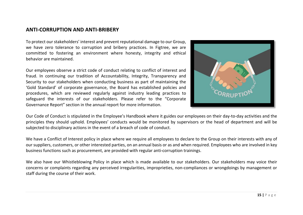### **ANTI-CORRUPTION AND ANTI-BRIBERY**

To protect our stakeholders' interest and prevent reputational damage to our Group, we have zero tolerance to corruption and bribery practices. In Figtree, we are committed to fostering an environment where honesty, integrity and ethical behavior are maintained.

Our employees observe a strict code of conduct relating to conflict of interest and fraud. In continuing our tradition of Accountability, Integrity, Transparency and Security to our stakeholders when conducting business as part of maintaining the 'Gold Standard' of corporate governance, the Board has established policies and procedures, which are reviewed regularly against industry leading practices to safeguard the interests of our stakeholders. Please refer to the "Corporate Governance Report" section in the annual report for more information.



Our Code of Conduct is stipulated in the Employee's Handbook where it guides our employees on their day-to-day activities and the principles they should uphold. Employees' conducts would be monitored by supervisors or the head of department and will be subjected to disciplinary actions in the event of a breach of code of conduct.

We have a Conflict of Interest policy in place where we require all employees to declare to the Group on their interests with any of our suppliers, customers, or other interested parties, on an annual basis or as and when required. Employees who are involved in key business functions such as procurement, are provided with regular anti-corruption trainings.

We also have our Whistleblowing Policy in place which is made available to our stakeholders. Our stakeholders may voice their concerns or complaints regarding any perceived irregularities, improprieties, non-compliances or wrongdoings by management or staff during the course of their work.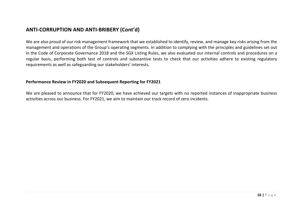### **ANTI-CORRUPTION AND ANTI-BRIBERY (Cont'd)**

We are also proud of our risk management framework that we established to identify, review, and manage key risks arising from the management and operations of the Group's operating segments. In addition to complying with the principles and guidelines set out in the Code of Corporate Governance 2018 and the SGX Listing Rules, we also evaluated our internal controls and procedures on a regular basis, performing both test of controls and substantive tests to check that our activities adhere to existing regulatory requirements as well as safeguarding our stakeholders' interests.

#### **Performance Review in FY2020 and Subsequent Reporting for FY2021**

We are pleased to announce that for FY2020, we have achieved our targets with no reported instances of inappropriate business activities across our business. For FY2021, we aim to maintain our track record of zero incidents.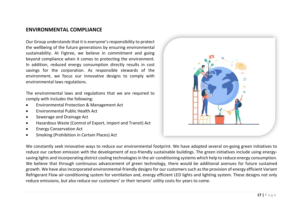### **ENVIRONMENTAL COMPLIANCE**

Our Group understands that it is everyone's responsibility to protect the wellbeing of the future generations by ensuring environmental sustainability. At Figtree, we believe in commitment and going beyond compliance when it comes to protecting the environment. In addition, reduced energy consumption directly results in cost savings for the corporation. As responsible stewards of the environment, we focus our innovative designs to comply with environmental laws regulations.

The environmental laws and regulations that we are required to comply with includes the following:

- Environmental Protection & Management Act
- Environmental Public Health Act
- Sewerage and Drainage Act
- Hazardous Waste (Control of Export, Import and Transit) Act
- Energy Conservation Act
- Smoking (Prohibition in Certain Places) Act



We constantly seek innovative ways to reduce our environmental footprint. We have adopted several on-going green initiatives to reduce our carbon emission with the development of eco-friendly sustainable buildings. The green initiatives include using energysaving lights and incorporating district cooling technologies in the air-conditioning systems which help to reduce energy consumption. We believe that through continuous advancement of green technology, there would be additional avenues for future sustained growth. We have also incorporated environmental-friendly designs for our customers such as the provision of energy efficient Variant Refrigerant Flow air-conditioning system for ventilation and, energy efficient LED lights and lighting system. These designs not only reduce emissions, but also reduce our customers' or their tenants' utility costs for years to come.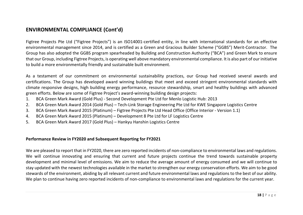### **ENVIRONMENTAL COMPLIANCE (Cont'd)**

Figtree Projects Pte Ltd ("Figtree Projects") is an ISO14001-certified entity, in line with international standards for an effective environmental management since 2014, and is certified as a Green and Gracious Builder Scheme ("GGBS") Merit-Contractor. The Group has also adopted the GGBS program spearheaded by Building and Construction Authority ("BCA") and Green Mark to ensure that our Group, including Figtree Projects, is operating well above mandatory environmental compliance. It is also part of our initiative to build a more environmentally friendly and sustainable built environment.

As a testament of our commitment on environmental sustainability practices, our Group had received several awards and certifications. The Group has developed award winning buildings that meet and exceed stringent environmental standards with climate responsive designs, high building energy performance, resource stewardship, smart and healthy buildings with advanced green efforts. Below are some of Figtree Project's award-winning building design projects:

- 1. BCA Green Mark Award (Gold Plus) Second Development Pte Ltd for Menlo Logistic Hub: 2013
- 2. BCA Green Mark Award 2014 (Gold Plus) Tech-Link Storage Engineering Pte Ltd for KWE Singapore Logistics Centre
- 3. BCA Green Mark Award 2015 (Platinum) Figtree Projects Pte Ltd Head Office (Office Interior Version 1.1)
- 4. BCA Green Mark Award 2015 (Platinum) Development 8 Pte Ltd for LF Logistics Centre
- 5. BCA Green Mark Award 2017 (Gold Plus) Hankyu Hanshin Logistics Centre

#### **Performance Review in FY2020 and Subsequent Reporting for FY2021**

We are pleased to report that in FY2020, there are zero reported incidents of non-compliance to environmental laws and regulations. We will continue innovating and ensuring that current and future projects continue the trend towards sustainable property development and minimal level of emissions. We aim to reduce the average amount of energy consumed and we will continue to stay updated with the newest technologies available in the market to strengthen our energy conservation efforts. We aim to be good stewards of the environment, abiding by all relevant current and future environmental laws and regulations to the best of our ability. We plan to continue having zero reported incidents of non-compliance to environmental laws and regulations for the current year.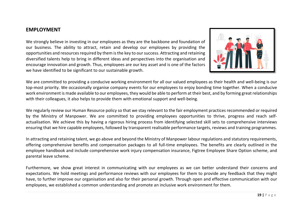### **EMPLOYMENT**

We strongly believe in investing in our employees as they are the backbone and foundation of our business. The ability to attract, retain and develop our employees by providing the opportunities and resources required by them is the key to our success. Attracting and retaining diversified talents help to bring in different ideas and perspectives into the organisation and encourage innovation and growth. Thus, employees are our key asset and is one of the factors we have identified to be significant to our sustainable growth.



We are committed to providing a conducive working environment for all our valued employees as their health and well-being is our top-most priority. We occasionally organise company events for our employees to enjoy bonding time together. When a conducive work environment is made available to our employees, they would be able to perform at their best, and by forming great relationships with their colleagues, it also helps to provide them with emotional support and well-being.

We regularly review our Human Resource policy so that we stay relevant to the fair employment practices recommended or required by the Ministry of Manpower. We are committed to providing employees opportunities to thrive, progress and reach selfactualisation. We achieve this by having a rigorous hiring process from identifying selected skill sets to comprehensive interviews ensuring that we hire capable employees, followed by transparent realisable performance targets, reviews and training programmes.

In attracting and retaining talent, we go above and beyond the Ministry of Manpower labour regulations and statutory requirements, offering comprehensive benefits and compensation packages to all full-time employees. The benefits are clearly outlined in the employee handbook and include comprehensive work injury compensation insurance, Figtree Employee Share Option scheme, and parental leave scheme.

Furthermore, we show great interest in communicating with our employees as we can better understand their concerns and expectations. We hold meetings and performance reviews with our employees for them to provide any feedback that they might have, to further improve our organisation and also for their personal growth. Through open and effective communication with our employees, we established a common understanding and promote an inclusive work environment for them.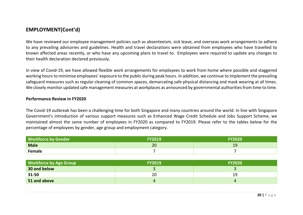### **EMPLOYMENT(Cont'd)**

We have reviewed our employee management policies such as absenteeism, sick leave, and overseas work arrangements to adhere to any prevailing advisories and guidelines. Health and travel declarations were obtained from employees who have travelled to known affected areas recently, or who have any upcoming plans to travel to. Employees were required to update any changes to their health declaration declared previously.

In view of Covid-19, we have allowed flexible work arrangements for employees to work from home where possible and staggered working hours to minimise employees' exposure to the public during peak hours. In addition, we continue to implement the prevailing safeguard measures such as regular cleaning of common spaces, demarcating safe physical distancing and mask wearing at all times. We closely monitor updated safe management measures at workplaces as announced by governmental authorities from time to time.

#### **Performance Review in FY2020**

The Covid-19 outbreak has been a challenging time for both Singapore and many countries around the world. In line with Singapore Government's introduction of various support measures such as Enhanced Wage Credit Schedule and Jobs Support Scheme, we maintained almost the same number of employees in FY2020 as compared to FY2019. Please refer to the tables below for the percentage of employees by gender, age group and employment category.

| <b>Workforce by Gender</b> | <b>FY2019</b> | <b>FY2020</b> |
|----------------------------|---------------|---------------|
| <b>Male</b>                | 20            | 19            |
| Female                     |               |               |

| <b>Workforce by Age Group</b> | <b>FY2019</b> | <b>FY2020</b> |
|-------------------------------|---------------|---------------|
| 30 and below                  |               |               |
| 31-50                         | 20            | 19            |
| 51 and above                  |               |               |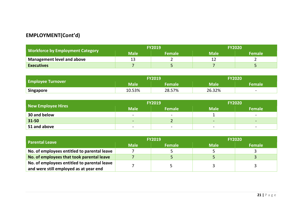## **EMPLOYMENT(Cont'd)**

|                                         | <b>FY2019</b>     |               | <b>FY2020</b> |               |
|-----------------------------------------|-------------------|---------------|---------------|---------------|
| <b>Workforce by Employment Category</b> | Male <sup>\</sup> | <b>Female</b> | <b>Male</b>   | <b>Female</b> |
| <b>Management level and above</b>       |                   |               |               |               |
| <b>Executives</b>                       |                   |               |               |               |

|                          |        | <b>FY2019</b> | <b>FY2020</b> |                          |
|--------------------------|--------|---------------|---------------|--------------------------|
| <b>Employee Turnover</b> | Male   | Female        | <b>Male</b>   | Female                   |
| <b>Singapore</b>         | 10.53% | 28.57%        | 26.32%        | $\overline{\phantom{0}}$ |

|                    |                          | <b>FY2019</b>            | <b>FY2020</b>            |                          |
|--------------------|--------------------------|--------------------------|--------------------------|--------------------------|
| New Employee Hires | <b>Male</b>              | Female                   | <b>Male</b>              | l Female <sup>l</sup>    |
| 30 and below       | $\overline{\phantom{0}}$ | $\overline{\phantom{0}}$ |                          | $\overline{\phantom{0}}$ |
| 31-50              | $\overline{\phantom{0}}$ |                          | $\overline{\phantom{0}}$ | $\overline{\phantom{0}}$ |
| 51 and above       | $\overline{\phantom{0}}$ | $\overline{\phantom{0}}$ | $\overline{\phantom{0}}$ | $\overline{\phantom{0}}$ |

| <b>Parental Leave</b>                       | <b>FY2019</b> |               | <b>FY2020</b> |               |
|---------------------------------------------|---------------|---------------|---------------|---------------|
|                                             | <b>Male</b>   | <b>Female</b> | <b>Male</b>   | <b>Female</b> |
| No. of employees entitled to parental leave |               |               |               |               |
| No. of employees that took parental leave   |               |               |               |               |
| No. of employees entitled to parental leave |               |               |               |               |
| and were still employed as at year end      |               |               |               |               |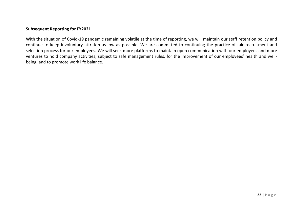#### **Subsequent Reporting for FY2021**

With the situation of Covid-19 pandemic remaining volatile at the time of reporting, we will maintain our staff retention policy and continue to keep involuntary attrition as low as possible. We are committed to continuing the practice of fair recruitment and selection process for our employees. We will seek more platforms to maintain open communication with our employees and more ventures to hold company activities, subject to safe management rules, for the improvement of our employees' health and wellbeing, and to promote work life balance.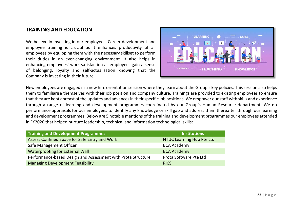### **TRAINING AND EDUCATION**

We believe in investing in our employees. Career development and employee training is crucial as it enhances productivity of all employees by equipping them with the necessary skillset to perform their duties in an ever-changing environment. It also helps in enhancing employees' work satisfaction as employees gain a sense of belonging, loyalty and self-actualisation knowing that the Company is investing in their future.



New employees are engaged in a new hire orientation session where they learn about the Group's key policies. This session also helps them to familiarise themselves with their job position and company culture. Trainings are provided to existing employees to ensure that they are kept abreast of the updates and advancesin their specific job positions. We empower our staff with skills and experience through a range of learning and development programmes coordinated by our Group's Human Resource department. We do performance appraisals for our employees to identify any knowledge or skill gap and address them thereafter through our learning and development programmes. Below are 5 notable mentions of the training and development programmes our employees attended in FY2020 that helped nurture leadership, technical and information technological skills:

| <b>Training and Development Programmes</b>                   | <b>Institutions</b>              |
|--------------------------------------------------------------|----------------------------------|
| Assess Confined Space for Safe Entry and Work                | <b>NTUC Learning Hub Pte Ltd</b> |
| Safe Management Officer                                      | <b>BCA Academy</b>               |
| <b>Waterproofing for External Wall</b>                       | <b>BCA Academy</b>               |
| Performance-based Design and Assessment with Prota Structure | Prota Software Pte Ltd           |
| <b>Managing Development Feasibility</b>                      | <b>RICS</b>                      |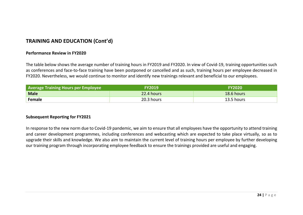### **TRAINING AND EDUCATION (Cont'd)**

#### **Performance Review in FY2020**

The table below shows the average number of training hours in FY2019 and FY2020. In view of Covid-19, training opportunities such as conferences and face-to-face training have been postponed or cancelled and as such, training hours per employee decreased in FY2020. Nevertheless, we would continue to monitor and identify new trainings relevant and beneficial to our employees.

| <b>Average Training Hours per Employee</b> | <b>FY2019</b> | <b>FY2020</b> |
|--------------------------------------------|---------------|---------------|
| <b>Male</b>                                | 22.4 hours    | 18.6 hours    |
| Female                                     | 20.3 hours    | 13.5 hours    |

#### **Subsequent Reporting for FY2021**

In response to the new norm due to Covid-19 pandemic, we aim to ensure that all employees have the opportunity to attend training and career development programmes, including conferences and webcasting which are expected to take place virtually, so as to upgrade their skills and knowledge. We also aim to maintain the current level of training hours per employee by further developing our training program through incorporating employee feedback to ensure the trainings provided are useful and engaging.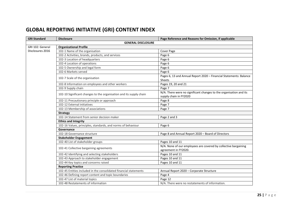# **GLOBAL REPORTING INITIATIVE (GRI) CONTENT INDEX**

| <b>GRI Standard</b>       | <b>Disclosure</b>                                                   | Page Reference and Reasons for Omission, if applicable                                       |  |  |
|---------------------------|---------------------------------------------------------------------|----------------------------------------------------------------------------------------------|--|--|
| <b>GENERAL DISCLOSURE</b> |                                                                     |                                                                                              |  |  |
| GRI 102: General          | <b>Organizational Profile</b>                                       |                                                                                              |  |  |
| Disclosures 2016          | 102-1 Name of the organisation                                      | Cover Page                                                                                   |  |  |
|                           | 102-2 Activities, brands, products, and services                    | Page 6                                                                                       |  |  |
|                           | 102-3 Location of headquarters                                      | Page 6                                                                                       |  |  |
|                           | 102-4 Location of operations                                        | Page 6                                                                                       |  |  |
|                           | 102-5 Ownership and legal form                                      | Page 6                                                                                       |  |  |
|                           | 102-6 Markets served                                                | Page 6                                                                                       |  |  |
|                           | 102-7 Scale of the organisation                                     | Pages 6, 13 and Annual Report 2020 - Financial Statements: Balance                           |  |  |
|                           | 102-8 Information on employees and other workers                    | Sheets                                                                                       |  |  |
|                           |                                                                     | Pages 19, 20 and 21                                                                          |  |  |
|                           | 102-9 Supply chain                                                  | Page 7                                                                                       |  |  |
|                           | 102-10 Significant changes to the organisation and its supply chain | N/A. There were no significant changes to the organisation and its<br>supply chain in FY2020 |  |  |
|                           | 102-11 Precautionary principle or approach                          | Page 8                                                                                       |  |  |
|                           | 102-12 External initiatives                                         | Page 7                                                                                       |  |  |
|                           | 102-13 Membership of associations                                   | Page 7                                                                                       |  |  |
|                           | <b>Strategy</b>                                                     |                                                                                              |  |  |
|                           | 102-14 Statement from senior decision maker                         | Page 2 and 3                                                                                 |  |  |
|                           | <b>Ethics and Integrity</b>                                         |                                                                                              |  |  |
|                           | 102-16 Values, principles, standards, and norms of behaviour        | Page 6                                                                                       |  |  |
|                           | Governance                                                          |                                                                                              |  |  |
|                           | 102-18 Governance structure                                         | Page 8 and Annual Report 2020 - Board of Directors                                           |  |  |
|                           | <b>Stakeholder Engagement</b>                                       |                                                                                              |  |  |
|                           | 102-40 List of stakeholder groups                                   | Pages 10 and 11                                                                              |  |  |
|                           | 102-41 Collective bargaining agreements                             | N/A. None of our employees are covered by collective bargaining<br>agreement in FY2020.      |  |  |
|                           | 102-42 Identifying and selecting stakeholders                       | Pages 10 and 11                                                                              |  |  |
|                           | 102-43 Approach to stakeholder engagement                           | Pages 10 and 11                                                                              |  |  |
|                           | 102-44 Key topics and concerns raised                               | Pages 10 and 11                                                                              |  |  |
|                           | <b>Reporting Practice</b>                                           |                                                                                              |  |  |
|                           | 102-45 Entities included in the consolidated financial statements   | Annual Report 2020 - Corporate Structure                                                     |  |  |
|                           | 102-46 Defining report content and topic boundaries                 | Page 4                                                                                       |  |  |
|                           | 102-47 List of material topics                                      | Page 12                                                                                      |  |  |
|                           | 102-48 Restatements of information                                  | N/A. There were no restatements of information.                                              |  |  |